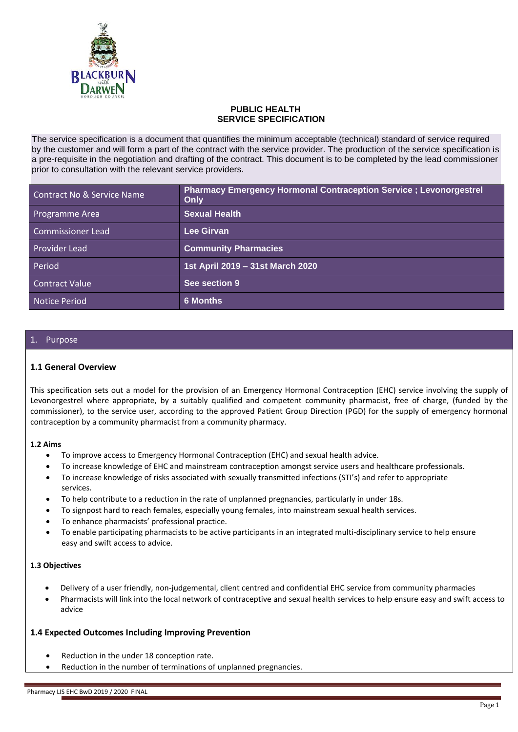

#### **PUBLIC HEALTH SERVICE SPECIFICATION**

The service specification is a document that quantifies the minimum acceptable (technical) standard of service required by the customer and will form a part of the contract with the service provider. The production of the service specification is a pre-requisite in the negotiation and drafting of the contract. This document is to be completed by the lead commissioner prior to consultation with the relevant service providers.

| Contract No & Service Name | <b>Pharmacy Emergency Hormonal Contraception Service ; Levonorgestrel</b><br>Only |
|----------------------------|-----------------------------------------------------------------------------------|
| Programme Area             | <b>Sexual Health</b>                                                              |
| <b>Commissioner Lead</b>   | Lee Girvan                                                                        |
| Provider Lead              | <b>Community Pharmacies</b>                                                       |
| Period                     | 1st April 2019 - 31st March 2020                                                  |
| <b>Contract Value</b>      | See section 9                                                                     |
| <b>Notice Period</b>       | <b>6 Months</b>                                                                   |

#### 1. Purpose

#### **1.1 General Overview**

This specification sets out a model for the provision of an Emergency Hormonal Contraception (EHC) service involving the supply of Levonorgestrel where appropriate, by a suitably qualified and competent community pharmacist, free of charge, (funded by the commissioner), to the service user, according to the approved Patient Group Direction (PGD) for the supply of emergency hormonal contraception by a community pharmacist from a community pharmacy.

#### **1.2 Aims**

- To improve access to Emergency Hormonal Contraception (EHC) and sexual health advice.
- To increase knowledge of EHC and mainstream contraception amongst service users and healthcare professionals.
- To increase knowledge of risks associated with sexually transmitted infections (STI's) and refer to appropriate services.
- To help contribute to a reduction in the rate of unplanned pregnancies, particularly in under 18s.
- To signpost hard to reach females, especially young females, into mainstream sexual health services.
- To enhance pharmacists' professional practice.
- To enable participating pharmacists to be active participants in an integrated multi-disciplinary service to help ensure easy and swift access to advice.

#### **1.3 Objectives**

- Delivery of a user friendly, non-judgemental, client centred and confidential EHC service from community pharmacies
- Pharmacists will link into the local network of contraceptive and sexual health services to help ensure easy and swift access to advice

#### **1.4 Expected Outcomes Including Improving Prevention**

- Reduction in the under 18 conception rate.
- Reduction in the number of terminations of unplanned pregnancies.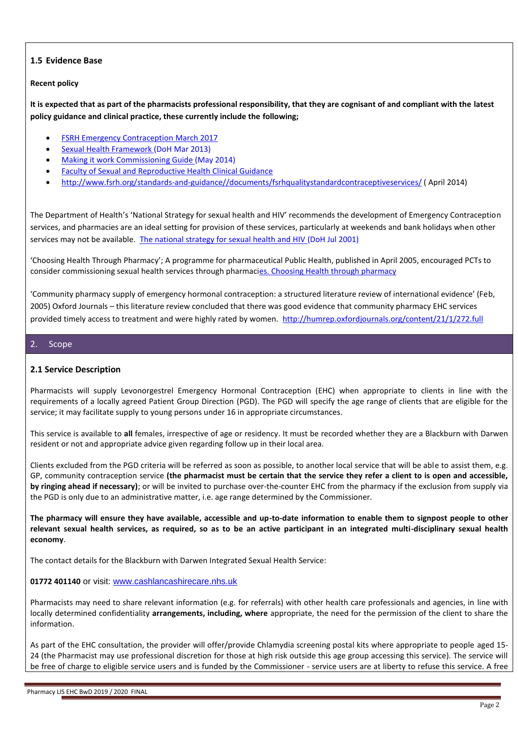## **1.5 Evidence Base**

#### **Recent policy**

**It is expected that as part of the pharmacists professional responsibility, that they are cognisant of and compliant with the latest policy guidance and clinical practice, these currently include the following;**

- [FSRH Emergency Contraception March 2017](http://www.fsrh.org/pdfs/CEUguidanceEmergencyContraception11.pdf)
- [Sexual Health Framework](https://www.gov.uk/government/publications/a-framework-for-sexual-health-improvement-in-england) (DoH Mar 2013)
- [Making it work Commissioning Guide](http://www.bing.com/search?q=making+it+work+commissioning&src=IE-SearchBox&FORM=IE10SR) (May 2014)
- [Faculty of Sexual and Reproductive Health Clinical Guidance](http://www.fsrh.org/pages/clinical_guidance.asp)
- [http://www.fsrh.org/standards-and-guidance//documents/fsrhqualitystandardcontraceptiveservices/](http://www.fsrh.org/standards-and-guidance/documents/fsrhqualitystandardcontraceptiveservices/) ( April 2014)

The Department of Health's 'National Strategy for sexual health and HIV' recommends the development of Emergency Contraception services, and pharmacies are an ideal setting for provision of these services, particularly at weekends and bank holidays when other services may not be available. [The national strategy for sexual health and HIV](http://antibiotic-action.com/wp-content/uploads/2011/07/DH-National-strategy-for-sexual-health-and-HIV.pdf) (DoH Jul 2001)

'Choosing Health Through Pharmacy'; A programme for pharmaceutical Public Health, published in April 2005, encouraged PCTs to consider commissioning sexual health services through pharmacies. [Choosing Health through pharmacy](http://webarchive.nationalarchives.gov.uk/+/www.dh.gov.uk/en/Publicationsandstatistics/Publications/PublicationsPolicyAndGuidance/Browsable/DH_4107796)

'Community pharmacy supply of emergency hormonal contraception: a structured literature review of international evidence' (Feb, 2005) Oxford Journals – this literature review concluded that there was good evidence that community pharmacy EHC services provided timely access to treatment and were highly rated by women. <http://humrep.oxfordjournals.org/content/21/1/272.full>

#### 2. Scope

#### **2.1 Service Description**

Pharmacists will supply Levonorgestrel Emergency Hormonal Contraception (EHC) when appropriate to clients in line with the requirements of a locally agreed Patient Group Direction (PGD). The PGD will specify the age range of clients that are eligible for the service; it may facilitate supply to young persons under 16 in appropriate circumstances.

This service is available to **all** females, irrespective of age or residency. It must be recorded whether they are a Blackburn with Darwen resident or not and appropriate advice given regarding follow up in their local area.

Clients excluded from the PGD criteria will be referred as soon as possible, to another local service that will be able to assist them, e.g. GP, community contraception service **(the pharmacist must be certain that the service they refer a client to is open and accessible, by ringing ahead if necessary)**; or will be invited to purchase over-the-counter EHC from the pharmacy if the exclusion from supply via the PGD is only due to an administrative matter, i.e. age range determined by the Commissioner.

**The pharmacy will ensure they have available, accessible and up-to-date information to enable them to signpost people to other relevant sexual health services, as required, so as to be an active participant in an integrated multi-disciplinary sexual health economy**.

The contact details for the Blackburn with Darwen Integrated Sexual Health Service:

#### **01772 401140** or visit: [www.cashlancashirecare.nhs.uk](http://www.cashlancashirecare.nhs.uk/)

Pharmacists may need to share relevant information (e.g. for referrals) with other health care professionals and agencies, in line with locally determined confidentiality **arrangements, including, where** appropriate, the need for the permission of the client to share the information.

As part of the EHC consultation, the provider will offer/provide Chlamydia screening postal kits where appropriate to people aged 15- 24 (the Pharmacist may use professional discretion for those at high risk outside this age group accessing this service). The service will be free of charge to eligible service users and is funded by the Commissioner - service users are at liberty to refuse this service. A free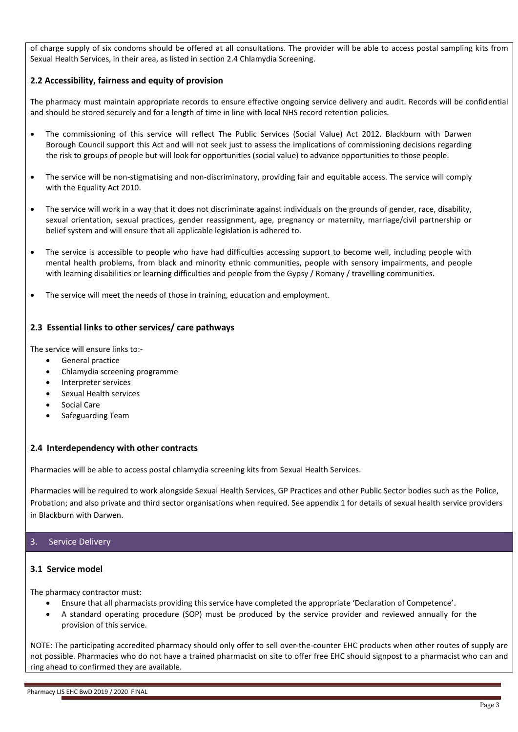of charge supply of six condoms should be offered at all consultations. The provider will be able to access postal sampling kits from Sexual Health Services, in their area, as listed in section 2.4 Chlamydia Screening.

#### **2.2 Accessibility, fairness and equity of provision**

The pharmacy must maintain appropriate records to ensure effective ongoing service delivery and audit. Records will be confidential and should be stored securely and for a length of time in line with local NHS record retention policies.

- The commissioning of this service will reflect The Public Services (Social Value) Act 2012. Blackburn with Darwen Borough Council support this Act and will not seek just to assess the implications of commissioning decisions regarding the risk to groups of people but will look for opportunities (social value) to advance opportunities to those people.
- The service will be non-stigmatising and non-discriminatory, providing fair and equitable access. The service will comply with the Equality Act 2010.
- The service will work in a way that it does not discriminate against individuals on the grounds of gender, race, disability, sexual orientation, sexual practices, gender reassignment, age, pregnancy or maternity, marriage/civil partnership or belief system and will ensure that all applicable legislation is adhered to.
- The service is accessible to people who have had difficulties accessing support to become well, including people with mental health problems, from black and minority ethnic communities, people with sensory impairments, and people with learning disabilities or learning difficulties and people from the Gypsy / Romany / travelling communities.
- The service will meet the needs of those in training, education and employment.

#### **2.3 Essential links to other services/ care pathways**

The service will ensure links to:-

- General practice
- Chlamydia screening programme
- Interpreter services
- Sexual Health services
- Social Care
- Safeguarding Team

#### **2.4 Interdependency with other contracts**

Pharmacies will be able to access postal chlamydia screening kits from Sexual Health Services.

Pharmacies will be required to work alongside Sexual Health Services, GP Practices and other Public Sector bodies such as the Police, Probation; and also private and third sector organisations when required. See appendix 1 for details of sexual health service providers in Blackburn with Darwen.

#### 3. Service Delivery

#### **3.1 Service model**

The pharmacy contractor must:

- Ensure that all pharmacists providing this service have completed the appropriate 'Declaration of Competence'.
- A standard operating procedure (SOP) must be produced by the service provider and reviewed annually for the provision of this service.

NOTE: The participating accredited pharmacy should only offer to sell over-the-counter EHC products when other routes of supply are not possible. Pharmacies who do not have a trained pharmacist on site to offer free EHC should signpost to a pharmacist who can and ring ahead to confirmed they are available.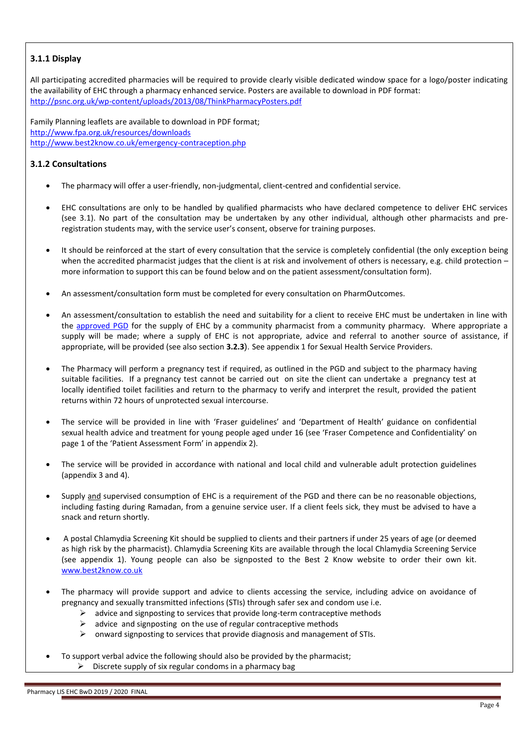## **3.1.1 Display**

All participating accredited pharmacies will be required to provide clearly visible dedicated window space for a logo/poster indicating the availability of EHC through a pharmacy enhanced service. Posters are available to download in PDF format: <http://psnc.org.uk/wp-content/uploads/2013/08/ThinkPharmacyPosters.pdf>

Family Planning leaflets are available to download in PDF format; <http://www.fpa.org.uk/resources/downloads> <http://www.best2know.co.uk/emergency-contraception.php>

## **3.1.2 Consultations**

- The pharmacy will offer a user-friendly, non-judgmental, client-centred and confidential service.
- EHC consultations are only to be handled by qualified pharmacists who have declared competence to deliver EHC services (see 3.1). No part of the consultation may be undertaken by any other individual, although other pharmacists and preregistration students may, with the service user's consent, observe for training purposes.
- It should be reinforced at the start of every consultation that the service is completely confidential (the only exception being when the accredited pharmacist judges that the client is at risk and involvement of others is necessary, e.g. child protection more information to support this can be found below and on the patient assessment/consultation form).
- An assessment/consultation form must be completed for every consultation on PharmOutcomes.
- An assessment/consultation to establish the need and suitability for a client to receive EHC must be undertaken in line with the [approved PGD](http://www.pharmacylancashire.org/nhs-contract-2/commissioned-services-2/public-health-services/sexual-health/) for the supply of EHC by a community pharmacist from a community pharmacy. Where appropriate a supply will be made; where a supply of EHC is not appropriate, advice and referral to another source of assistance, if appropriate, will be provided (see also section **3.2.3**). See appendix 1 for Sexual Health Service Providers.
- The Pharmacy will perform a pregnancy test if required, as outlined in the PGD and subject to the pharmacy having suitable facilities. If a pregnancy test cannot be carried out on site the client can undertake a pregnancy test at locally identified toilet facilities and return to the pharmacy to verify and interpret the result, provided the patient returns within 72 hours of unprotected sexual intercourse.
- The service will be provided in line with 'Fraser guidelines' and 'Department of Health' guidance on confidential sexual health advice and treatment for young people aged under 16 (see 'Fraser Competence and Confidentiality' on page 1 of the 'Patient Assessment Form' in appendix 2).
- The service will be provided in accordance with national and local child and vulnerable adult protection guidelines (appendix 3 and 4).
- Supply and supervised consumption of EHC is a requirement of the PGD and there can be no reasonable objections, including fasting during Ramadan, from a genuine service user. If a client feels sick, they must be advised to have a snack and return shortly.
- A postal Chlamydia Screening Kit should be supplied to clients and their partners if under 25 years of age (or deemed as high risk by the pharmacist). Chlamydia Screening Kits are available through the local Chlamydia Screening Service (see appendix 1). Young people can also be signposted to the Best 2 Know website to order their own kit. [www.best2know.co.uk](http://www.best2know.co.uk/)
- The pharmacy will provide support and advice to clients accessing the service, including advice on avoidance of pregnancy and sexually transmitted infections (STIs) through safer sex and condom use i.e.
	- $\triangleright$  advice and signposting to services that provide long-term contraceptive methods
	- $\geq$  advice and signposting on the use of regular contraceptive methods
	- $\triangleright$  onward signposting to services that provide diagnosis and management of STIs.
- To support verbal advice the following should also be provided by the pharmacist;  $\triangleright$  Discrete supply of six regular condoms in a pharmacy bag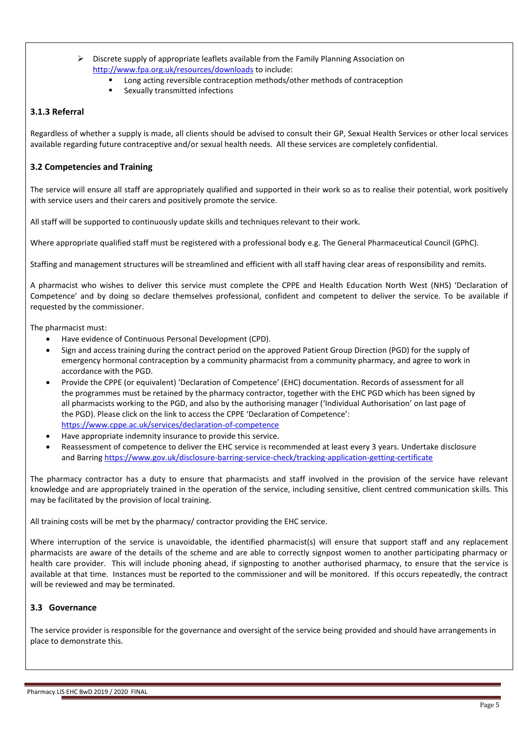- Discrete supply of appropriate leaflets available from the Family Planning Association on <http://www.fpa.org.uk/resources/downloads> to include:
	- Long acting reversible contraception methods/other methods of contraception
	- **EXAMILE Sexually transmitted infections**

#### **3.1.3 Referral**

Regardless of whether a supply is made, all clients should be advised to consult their GP, Sexual Health Services or other local services available regarding future contraceptive and/or sexual health needs. All these services are completely confidential.

## **3.2 Competencies and Training**

The service will ensure all staff are appropriately qualified and supported in their work so as to realise their potential, work positively with service users and their carers and positively promote the service.

All staff will be supported to continuously update skills and techniques relevant to their work.

Where appropriate qualified staff must be registered with a professional body e.g. The General Pharmaceutical Council (GPhC).

Staffing and management structures will be streamlined and efficient with all staff having clear areas of responsibility and remits.

A pharmacist who wishes to deliver this service must complete the CPPE and Health Education North West (NHS) 'Declaration of Competence' and by doing so declare themselves professional, confident and competent to deliver the service. To be available if requested by the commissioner.

The pharmacist must:

- Have evidence of Continuous Personal Development (CPD).
- Sign and access training during the contract period on the approved Patient Group Direction (PGD) for the supply of emergency hormonal contraception by a community pharmacist from a community pharmacy, and agree to work in accordance with the PGD.
- Provide the CPPE (or equivalent) 'Declaration of Competence' (EHC) documentation. Records of assessment for all the programmes must be retained by the pharmacy contractor, together with the EHC PGD which has been signed by all pharmacists working to the PGD, and also by the authorising manager ('Individual Authorisation' on last page of the PGD). Please click on the link to access the CPPE 'Declaration of Competence': <https://www.cppe.ac.uk/services/declaration-of-competence>
- Have appropriate indemnity insurance to provide this service.
- Reassessment of competence to deliver the EHC service is recommended at least every 3 years. Undertake disclosure and Barring<https://www.gov.uk/disclosure-barring-service-check/tracking-application-getting-certificate>

The pharmacy contractor has a duty to ensure that pharmacists and staff involved in the provision of the service have relevant knowledge and are appropriately trained in the operation of the service, including sensitive, client centred communication skills. This may be facilitated by the provision of local training.

All training costs will be met by the pharmacy/ contractor providing the EHC service.

Where interruption of the service is unavoidable, the identified pharmacist(s) will ensure that support staff and any replacement pharmacists are aware of the details of the scheme and are able to correctly signpost women to another participating pharmacy or health care provider. This will include phoning ahead, if signposting to another authorised pharmacy, to ensure that the service is available at that time. Instances must be reported to the commissioner and will be monitored. If this occurs repeatedly, the contract will be reviewed and may be terminated.

## **3.3 Governance**

The service provider is responsible for the governance and oversight of the service being provided and should have arrangements in place to demonstrate this.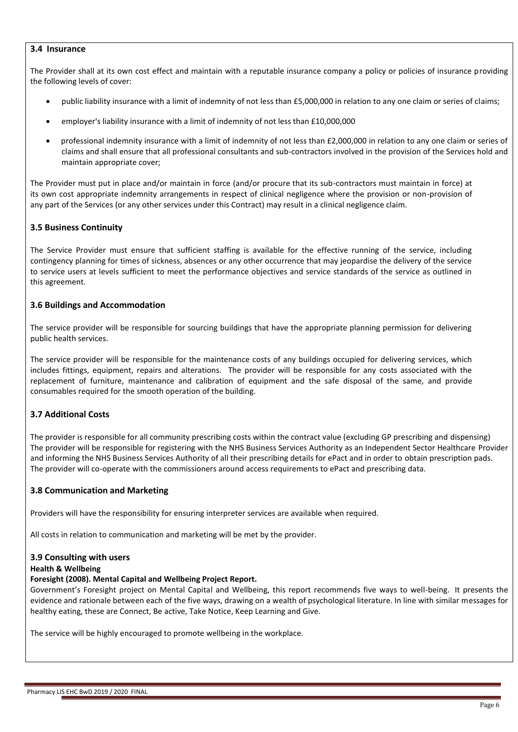#### **3.4 Insurance**

The Provider shall at its own cost effect and maintain with a reputable insurance company a policy or policies of insurance providing the following levels of cover:

- public liability insurance with a limit of indemnity of not less than £5,000,000 in relation to any one claim or series of claims;
- employer's liability insurance with a limit of indemnity of not less than £10,000,000
- professional indemnity insurance with a limit of indemnity of not less than £2,000,000 in relation to any one claim or series of claims and shall ensure that all professional consultants and sub-contractors involved in the provision of the Services hold and maintain appropriate cover;

The Provider must put in place and/or maintain in force (and/or procure that its sub-contractors must maintain in force) at its own cost appropriate indemnity arrangements in respect of clinical negligence where the provision or non-provision of any part of the Services (or any other services under this Contract) may result in a clinical negligence claim.

#### **3.5 Business Continuity**

The Service Provider must ensure that sufficient staffing is available for the effective running of the service, including contingency planning for times of sickness, absences or any other occurrence that may jeopardise the delivery of the service to service users at levels sufficient to meet the performance objectives and service standards of the service as outlined in this agreement.

#### **3.6 Buildings and Accommodation**

The service provider will be responsible for sourcing buildings that have the appropriate planning permission for delivering public health services.

The service provider will be responsible for the maintenance costs of any buildings occupied for delivering services, which includes fittings, equipment, repairs and alterations. The provider will be responsible for any costs associated with the replacement of furniture, maintenance and calibration of equipment and the safe disposal of the same, and provide consumables required for the smooth operation of the building.

## **3.7 Additional Costs**

The provider is responsible for all community prescribing costs within the contract value (excluding GP prescribing and dispensing) The provider will be responsible for registering with the NHS Business Services Authority as an Independent Sector Healthcare Provider and informing the NHS Business Services Authority of all their prescribing details for ePact and in order to obtain prescription pads. The provider will co-operate with the commissioners around access requirements to ePact and prescribing data.

#### **3.8 Communication and Marketing**

Providers will have the responsibility for ensuring interpreter services are available when required.

All costs in relation to communication and marketing will be met by the provider.

#### **3.9 Consulting with users**

#### **Health & Wellbeing**

#### **Foresight (2008). Mental Capital and Wellbeing Project Report.**

Government's Foresight project on Mental Capital and Wellbeing, this report recommends five ways to well-being. It presents the evidence and rationale between each of the five ways, drawing on a wealth of psychological literature. In line with similar messages for healthy eating, these are Connect, Be active, Take Notice, Keep Learning and Give.

The service will be highly encouraged to promote wellbeing in the workplace.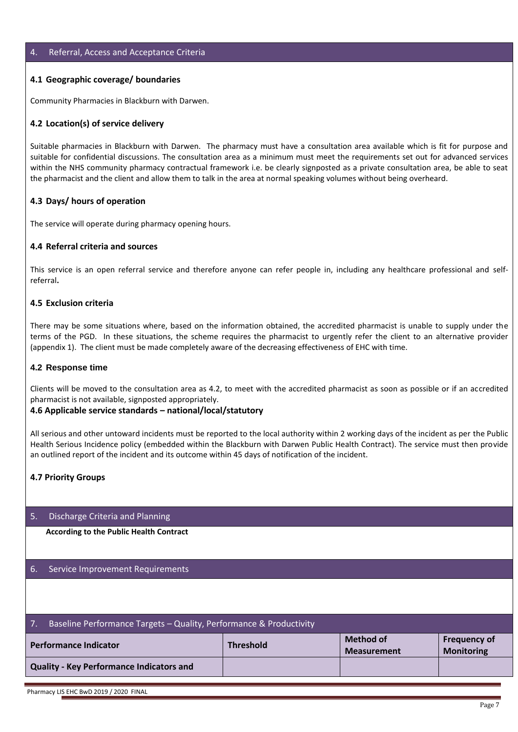#### 4. Referral, Access and Acceptance Criteria

#### **4.1 Geographic coverage/ boundaries**

Community Pharmacies in Blackburn with Darwen.

#### **4.2 Location(s) of service delivery**

Suitable pharmacies in Blackburn with Darwen. The pharmacy must have a consultation area available which is fit for purpose and suitable for confidential discussions. The consultation area as a minimum must meet the requirements set out for advanced services within the NHS community pharmacy contractual framework i.e. be clearly signposted as a private consultation area, be able to seat the pharmacist and the client and allow them to talk in the area at normal speaking volumes without being overheard.

#### **4.3 Days/ hours of operation**

The service will operate during pharmacy opening hours.

#### **4.4 Referral criteria and sources**

This service is an open referral service and therefore anyone can refer people in, including any healthcare professional and selfreferral**.**

#### **4.5 Exclusion criteria**

There may be some situations where, based on the information obtained, the accredited pharmacist is unable to supply under the terms of the PGD. In these situations, the scheme requires the pharmacist to urgently refer the client to an alternative provider (appendix 1). The client must be made completely aware of the decreasing effectiveness of EHC with time.

#### **4.2 Response time**

Clients will be moved to the consultation area as 4.2, to meet with the accredited pharmacist as soon as possible or if an accredited pharmacist is not available, signposted appropriately.

#### **4.6 Applicable service standards – national/local/statutory**

All serious and other untoward incidents must be reported to the local authority within 2 working days of the incident as per the Public Health Serious Incidence policy (embedded within the Blackburn with Darwen Public Health Contract). The service must then provide an outlined report of the incident and its outcome within 45 days of notification of the incident.

#### **4.7 Priority Groups**

#### 5. Discharge Criteria and Planning

**According to the Public Health Contract**

#### 6. Service Improvement Requirements

| Baseline Performance Targets - Quality, Performance & Productivity<br>$\overline{7}$ .                                          |  |  |  |  |  |
|---------------------------------------------------------------------------------------------------------------------------------|--|--|--|--|--|
| Method of<br><b>Frequency of</b><br><b>Performance Indicator</b><br><b>Threshold</b><br><b>Monitoring</b><br><b>Measurement</b> |  |  |  |  |  |
| Quality - Key Performance Indicators and                                                                                        |  |  |  |  |  |
|                                                                                                                                 |  |  |  |  |  |

Pharmacy LIS EHC BwD 2019 / 2020 FINAL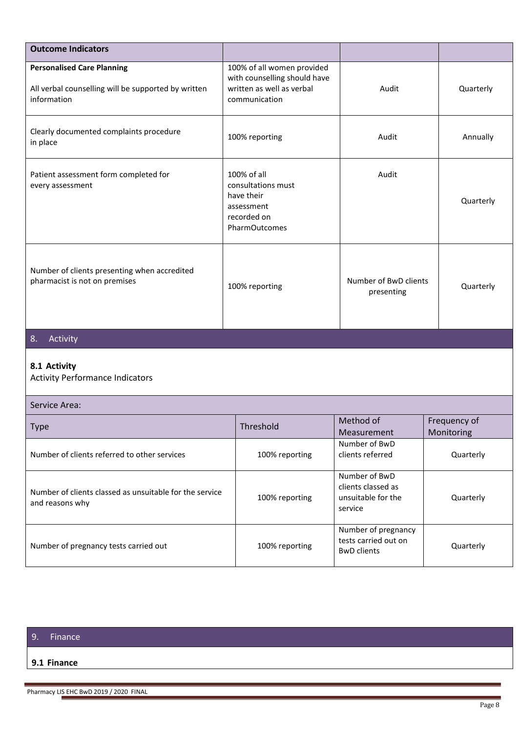| <b>Outcome Indicators</b>                                                                               |                                                                                                          |                                                                      |                            |
|---------------------------------------------------------------------------------------------------------|----------------------------------------------------------------------------------------------------------|----------------------------------------------------------------------|----------------------------|
| <b>Personalised Care Planning</b><br>All verbal counselling will be supported by written<br>information | 100% of all women provided<br>with counselling should have<br>written as well as verbal<br>communication | Audit                                                                | Quarterly                  |
| Clearly documented complaints procedure<br>in place                                                     | 100% reporting                                                                                           | Audit                                                                | Annually                   |
| Patient assessment form completed for<br>every assessment                                               | 100% of all<br>consultations must<br>have their<br>assessment<br>recorded on<br>PharmOutcomes            | Audit                                                                | Quarterly                  |
| Number of clients presenting when accredited<br>pharmacist is not on premises                           | 100% reporting                                                                                           | Number of BwD clients<br>presenting                                  | Quarterly                  |
| Activity<br>8.                                                                                          |                                                                                                          |                                                                      |                            |
| 8.1 Activity<br><b>Activity Performance Indicators</b>                                                  |                                                                                                          |                                                                      |                            |
| Service Area:                                                                                           |                                                                                                          |                                                                      |                            |
| <b>Type</b>                                                                                             | Threshold                                                                                                | Method of<br>Measurement                                             | Frequency of<br>Monitoring |
| Number of clients referred to other services                                                            | 100% reporting                                                                                           | Number of BwD<br>clients referred                                    | Quarterly                  |
| Number of clients classed as unsuitable for the service<br>and reasons why                              | 100% reporting                                                                                           | Number of BwD<br>clients classed as<br>unsuitable for the<br>service | Quarterly                  |
| Number of pregnancy tests carried out                                                                   | 100% reporting                                                                                           | Number of pregnancy<br>tests carried out on<br><b>BwD</b> clients    | Quarterly                  |

## 9. Finance

#### **9.1 Finance**

Pharmacy LIS EHC BwD 2019 / 2020 FINAL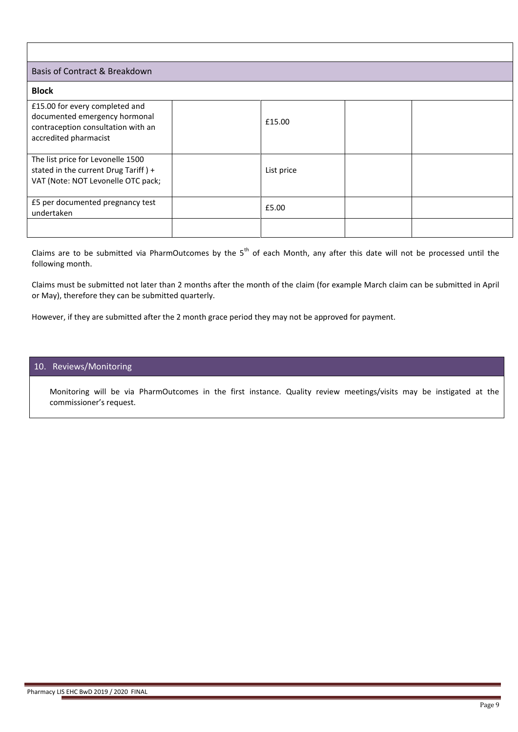## Basis of Contract & Breakdown

| Basis of Contract & Breakdown                                                                                                  |            |  |  |  |
|--------------------------------------------------------------------------------------------------------------------------------|------------|--|--|--|
| <b>Block</b>                                                                                                                   |            |  |  |  |
| £15.00 for every completed and<br>documented emergency hormonal<br>contraception consultation with an<br>accredited pharmacist | £15.00     |  |  |  |
| The list price for Levonelle 1500<br>stated in the current Drug Tariff) +<br>VAT (Note: NOT Levonelle OTC pack;                | List price |  |  |  |
| E5 per documented pregnancy test<br>undertaken                                                                                 | £5.00      |  |  |  |
|                                                                                                                                |            |  |  |  |

Claims are to be submitted via PharmOutcomes by the  $5<sup>th</sup>$  of each Month, any after this date will not be processed until the following month.

Claims must be submitted not later than 2 months after the month of the claim (for example March claim can be submitted in April or May), therefore they can be submitted quarterly.

However, if they are submitted after the 2 month grace period they may not be approved for payment.

## 10. Reviews/Monitoring

Monitoring will be via PharmOutcomes in the first instance. Quality review meetings/visits may be instigated at the commissioner's request.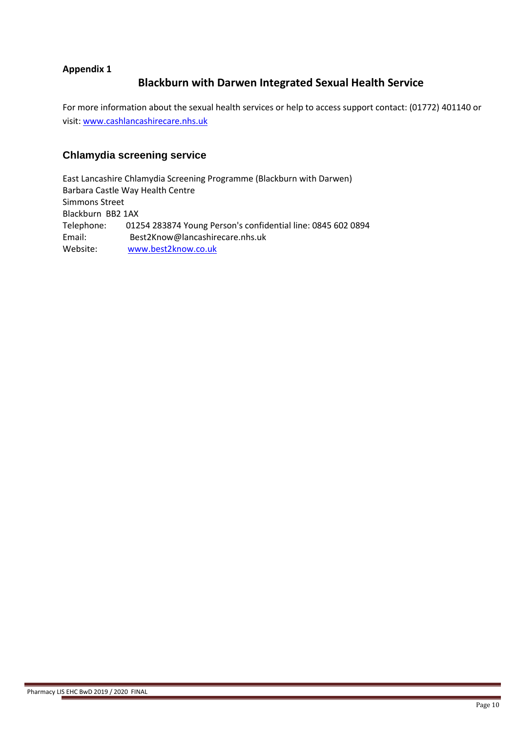## **Appendix 1**

## **Blackburn with Darwen Integrated Sexual Health Service**

For more information about the sexual health services or help to access support contact: (01772) 401140 or visit[: www.cashlancashirecare.nhs.uk](http://cp.mcafee.com/d/5fHCNAe3zqb3VEVpjpod7dPtPqqarPyr3yq9J6ZTSnDC6m3qqarPyr3yqpJ55x4sMYMMYrIjzaAWH4_zNei27M1h0_r5i3soshGpVIGr87XoGgrz3ydjfdBjtT4Ty3Hz_nVVN56XTnKnjp79YyUCqekm4uEyOJtdmXbfaxVZicHs3jq9JATsTsS02JJ2p-MJJ2sE_ro_Q2teraC_fAaqg-pfyLMC2zZxrq4Vh-SN_E4WsSldFFIefndwIqid40NUuTFVEw9_FYOpEwS4aJMJWLMCq80I2Ph0rpodTT5hDN2g)

## **Chlamydia screening service**

East Lancashire Chlamydia Screening Programme (Blackburn with Darwen) Barbara Castle Way Health Centre Simmons Street Blackburn BB2 1AX Telephone: 01254 283874 Young Person's confidential line: 0845 602 0894 Email: Best2Know@lancashirecare.nhs.uk Website: [www.best2know.co.uk](http://www.best2know.co.uk/)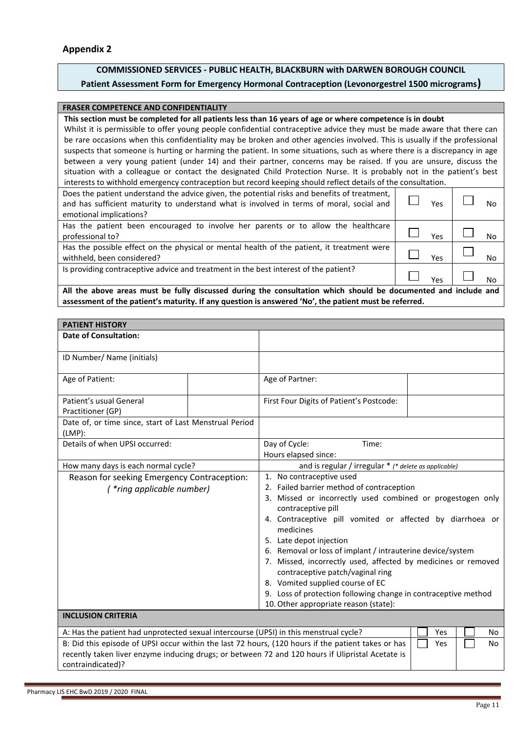## **COMMISSIONED SERVICES - PUBLIC HEALTH, BLACKBURN with DARWEN BOROUGH COUNCIL Patient Assessment Form for Emergency Hormonal Contraception (Levonorgestrel 1500 micrograms)**

#### **FRASER COMPETENCE AND CONFIDENTIALITY**

#### **This section must be completed for all patients less than 16 years of age or where competence is in doubt**

Whilst it is permissible to offer young people confidential contraceptive advice they must be made aware that there can be rare occasions when this confidentiality may be broken and other agencies involved. This is usually if the professional suspects that someone is hurting or harming the patient. In some situations, such as where there is a discrepancy in age between a very young patient (under 14) and their partner, concerns may be raised. If you are unsure, discuss the situation with a colleague or contact the designated Child Protection Nurse. It is probably not in the patient's best interests to withhold emergency contraception but record keeping should reflect details of the consultation.

| Does the patient understand the advice given, the potential risks and benefits of treatment,<br>and has sufficient maturity to understand what is involved in terms of moral, social and<br>emotional implications? | Yes | No        |
|---------------------------------------------------------------------------------------------------------------------------------------------------------------------------------------------------------------------|-----|-----------|
| Has the patient been encouraged to involve her parents or to allow the healthcare<br>professional to?                                                                                                               | Yes | <b>No</b> |
| Has the possible effect on the physical or mental health of the patient, it treatment were<br>withheld, been considered?                                                                                            | Yes | <b>No</b> |
| Is providing contraceptive advice and treatment in the best interest of the patient?                                                                                                                                | Yes | No        |
| All the above areas must be fully discussed during the consultation which should be documented and include and                                                                                                      |     |           |

**assessment of the patient's maturity. If any question is answered 'No', the patient must be referred.**

| <b>PATIENT HISTORY</b>                                                                                                                                                                                                      |                                                                                                                                                                                                                                                                                                                                                                                                                                                                                                                                                                                  |
|-----------------------------------------------------------------------------------------------------------------------------------------------------------------------------------------------------------------------------|----------------------------------------------------------------------------------------------------------------------------------------------------------------------------------------------------------------------------------------------------------------------------------------------------------------------------------------------------------------------------------------------------------------------------------------------------------------------------------------------------------------------------------------------------------------------------------|
| <b>Date of Consultation:</b>                                                                                                                                                                                                |                                                                                                                                                                                                                                                                                                                                                                                                                                                                                                                                                                                  |
| ID Number/ Name (initials)                                                                                                                                                                                                  |                                                                                                                                                                                                                                                                                                                                                                                                                                                                                                                                                                                  |
| Age of Patient:                                                                                                                                                                                                             | Age of Partner:                                                                                                                                                                                                                                                                                                                                                                                                                                                                                                                                                                  |
| Patient's usual General<br>Practitioner (GP)                                                                                                                                                                                | First Four Digits of Patient's Postcode:                                                                                                                                                                                                                                                                                                                                                                                                                                                                                                                                         |
| Date of, or time since, start of Last Menstrual Period<br>$(LMP)$ :                                                                                                                                                         |                                                                                                                                                                                                                                                                                                                                                                                                                                                                                                                                                                                  |
| Details of when UPSI occurred:                                                                                                                                                                                              | Day of Cycle:<br>Time:<br>Hours elapsed since:                                                                                                                                                                                                                                                                                                                                                                                                                                                                                                                                   |
| How many days is each normal cycle?                                                                                                                                                                                         | and is regular / irregular * (* delete as applicable)                                                                                                                                                                                                                                                                                                                                                                                                                                                                                                                            |
| Reason for seeking Emergency Contraception:<br>(*ring applicable number)                                                                                                                                                    | 1. No contraceptive used<br>2. Failed barrier method of contraception<br>3. Missed or incorrectly used combined or progestogen only<br>contraceptive pill<br>4. Contraceptive pill vomited or affected by diarrhoea or<br>medicines<br>5. Late depot injection<br>6. Removal or loss of implant / intrauterine device/system<br>7. Missed, incorrectly used, affected by medicines or removed<br>contraceptive patch/vaginal ring<br>8. Vomited supplied course of EC<br>9. Loss of protection following change in contraceptive method<br>10. Other appropriate reason (state): |
| <b>INCLUSION CRITERIA</b>                                                                                                                                                                                                   |                                                                                                                                                                                                                                                                                                                                                                                                                                                                                                                                                                                  |
| A: Has the patient had unprotected sexual intercourse (UPSI) in this menstrual cycle?                                                                                                                                       | Yes<br>No                                                                                                                                                                                                                                                                                                                                                                                                                                                                                                                                                                        |
| B: Did this episode of UPSI occur within the last 72 hours, (120 hours if the patient takes or has<br>recently taken liver enzyme inducing drugs; or between 72 and 120 hours if Ulipristal Acetate is<br>contraindicated)? | Yes<br><b>No</b>                                                                                                                                                                                                                                                                                                                                                                                                                                                                                                                                                                 |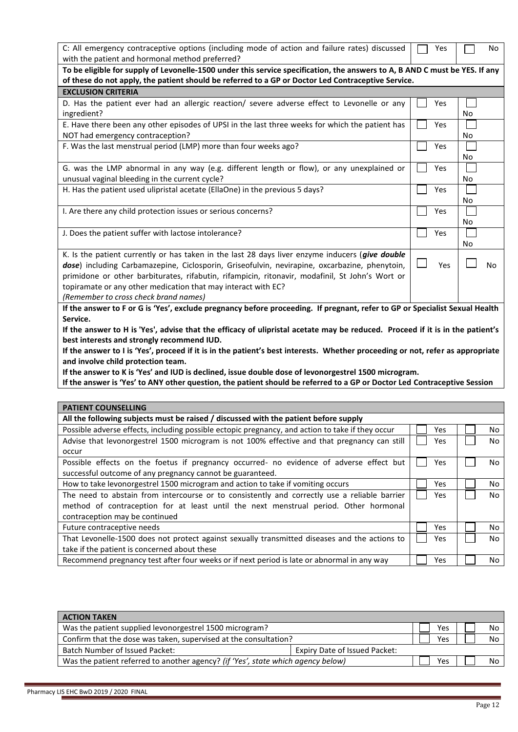| C: All emergency contraceptive options (including mode of action and failure rates) discussed                                  | Yes |    | No        |
|--------------------------------------------------------------------------------------------------------------------------------|-----|----|-----------|
| with the patient and hormonal method preferred?                                                                                |     |    |           |
| To be eligible for supply of Levonelle-1500 under this service specification, the answers to A, B AND C must be YES. If any    |     |    |           |
| of these do not apply, the patient should be referred to a GP or Doctor Led Contraceptive Service.                             |     |    |           |
| <b>EXCLUSION CRITERIA</b>                                                                                                      |     |    |           |
| D. Has the patient ever had an allergic reaction/ severe adverse effect to Levonelle or any                                    | Yes |    |           |
| ingredient?                                                                                                                    |     | No |           |
| E. Have there been any other episodes of UPSI in the last three weeks for which the patient has                                | Yes |    |           |
| NOT had emergency contraception?                                                                                               |     | No |           |
| F. Was the last menstrual period (LMP) more than four weeks ago?                                                               | Yes |    |           |
|                                                                                                                                |     | No |           |
| G. was the LMP abnormal in any way (e.g. different length or flow), or any unexplained or                                      | Yes |    |           |
| unusual vaginal bleeding in the current cycle?                                                                                 |     | No |           |
| H. Has the patient used ulipristal acetate (EllaOne) in the previous 5 days?                                                   | Yes |    |           |
|                                                                                                                                |     | No |           |
| I. Are there any child protection issues or serious concerns?                                                                  | Yes |    |           |
|                                                                                                                                |     | No |           |
| J. Does the patient suffer with lactose intolerance?                                                                           | Yes |    |           |
|                                                                                                                                |     | No |           |
| K. Is the patient currently or has taken in the last 28 days liver enzyme inducers (give double                                |     |    |           |
| dose) including Carbamazepine, Ciclosporin, Griseofulvin, nevirapine, oxcarbazine, phenytoin,                                  | Yes |    | No        |
| primidone or other barbiturates, rifabutin, rifampicin, ritonavir, modafinil, St John's Wort or                                |     |    |           |
| topiramate or any other medication that may interact with EC?                                                                  |     |    |           |
| (Remember to cross check brand names)                                                                                          |     |    |           |
| If the answer to F or G is 'Yes', exclude pregnancy before proceeding. If pregnant, refer to GP or Specialist Sexual Health    |     |    |           |
| Service.                                                                                                                       |     |    |           |
| If the answer to H is 'Yes', advise that the efficacy of ulipristal acetate may be reduced. Proceed if it is in the patient's  |     |    |           |
| best interests and strongly recommend IUD.                                                                                     |     |    |           |
| If the answer to I is 'Yes', proceed if it is in the patient's best interests. Whether proceeding or not, refer as appropriate |     |    |           |
| and involve child protection team.                                                                                             |     |    |           |
| If the answer to K is 'Yes' and IUD is declined, issue double dose of levonorgestrel 1500 microgram.                           |     |    |           |
| If the answer is 'Yes' to ANY other question, the patient should be referred to a GP or Doctor Led Contraceptive Session       |     |    |           |
|                                                                                                                                |     |    |           |
|                                                                                                                                |     |    |           |
| <b>PATIENT COUNSELLING</b>                                                                                                     |     |    |           |
| All the following subjects must be raised / discussed with the patient before supply                                           |     |    |           |
| Possible adverse effects, including possible ectopic pregnancy, and action to take if they occur                               | Yes |    | <b>NO</b> |
| Advise that levonorgestrel 1500 microgram is not 100% effective and that pregnancy can still                                   | Yes |    | No        |
| occur                                                                                                                          |     |    |           |
| Possible effects on the foetus if pregnancy occurred- no evidence of adverse effect but                                        | Yes |    | No        |
| successful outcome of any pregnancy cannot be guaranteed.                                                                      |     |    |           |
| How to take levonorgestrel 1500 microgram and action to take if vomiting occurs                                                | Yes |    | No        |
| The need to abstain from intercourse or to consistently and correctly use a reliable barrier                                   | Yes |    | No        |
| method of contraception for at least until the next menstrual period. Other hormonal                                           |     |    |           |
| contraception may be continued                                                                                                 |     |    |           |
| Future contraceptive needs                                                                                                     | Yes |    | No        |
| That Levonelle-1500 does not protect against sexually transmitted diseases and the actions to                                  | Yes |    | No        |
| take if the patient is concerned about these                                                                                   |     |    |           |

|                                                                                  | Yes |     | No |
|----------------------------------------------------------------------------------|-----|-----|----|
| Confirm that the dose was taken, supervised at the consultation?                 |     |     | No |
| Expiry Date of Issued Packet:                                                    |     |     |    |
| Was the patient referred to another agency? (if 'Yes', state which agency below) | Yes |     | No |
|                                                                                  |     | Yes |    |

Recommend pregnancy test after four weeks or if next period is late or abnormal in any way  $\Box$  Yes  $\Box$  No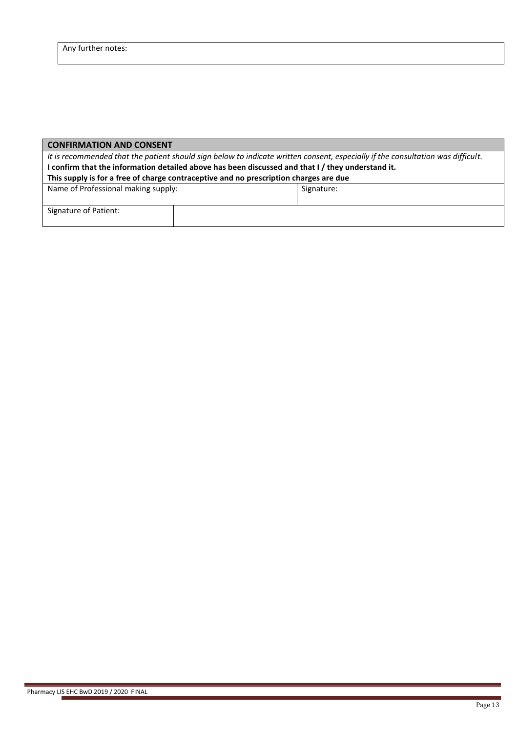| <b>CONFIRMATION AND CONSENT</b>                                                                   |                                                                                                                                 |            |  |  |  |
|---------------------------------------------------------------------------------------------------|---------------------------------------------------------------------------------------------------------------------------------|------------|--|--|--|
|                                                                                                   | It is recommended that the patient should sign below to indicate written consent, especially if the consultation was difficult. |            |  |  |  |
| I confirm that the information detailed above has been discussed and that I / they understand it. |                                                                                                                                 |            |  |  |  |
| This supply is for a free of charge contraceptive and no prescription charges are due             |                                                                                                                                 |            |  |  |  |
| Name of Professional making supply:                                                               |                                                                                                                                 | Signature: |  |  |  |
|                                                                                                   |                                                                                                                                 |            |  |  |  |
| Signature of Patient:                                                                             |                                                                                                                                 |            |  |  |  |
|                                                                                                   |                                                                                                                                 |            |  |  |  |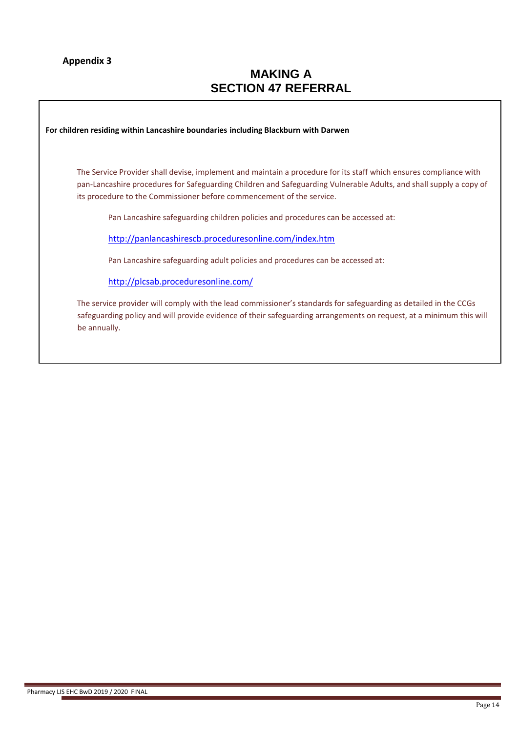## **Appendix 3**

# **MAKING A SECTION 47 REFERRAL**

**For children residing within Lancashire boundaries including Blackburn with Darwen**

The Service Provider shall devise, implement and maintain a procedure for its staff which ensures compliance with pan-Lancashire procedures for Safeguarding Children and Safeguarding Vulnerable Adults, and shall supply a copy of its procedure to the Commissioner before commencement of the service.

Pan Lancashire safeguarding children policies and procedures can be accessed at:

<http://panlancashirescb.proceduresonline.com/index.htm>

Pan Lancashire safeguarding adult policies and procedures can be accessed at:

<http://plcsab.proceduresonline.com/>

The service provider will comply with the lead commissioner's standards for safeguarding as detailed in the CCGs safeguarding policy and will provide evidence of their safeguarding arrangements on request, at a minimum this will be annually.